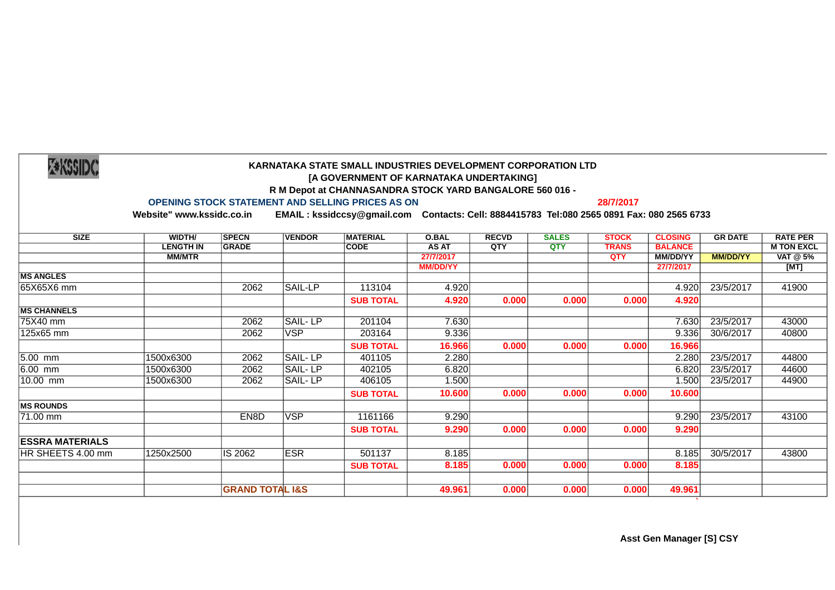|  | <b>Z*KSSIDC</b> |
|--|-----------------|

## **KARNATAKA STATE SMALL INDUSTRIES DEVELOPMENT CORPORATION LTD [A GOVERNMENT OF KARNATAKA UNDERTAKING] R M Depot at CHANNASANDRA STOCK YARD BANGALORE 560 016 -**

## **OPENING STOCK STATEMENT AND SELLING PRICES AS ON 28/7/2017**

**Website" www.kssidc.co.in EMAIL : kssidccsy@gmail.com Contacts: Cell: 8884415783 Tel:080 2565 0891 Fax: 080 2565 6733** 

| <b>SIZE</b>            | <b>WIDTH/</b>    | <b>SPECN</b>               | <b>VENDOR</b> | <b>MATERIAL</b>  | <b>O.BAL</b>    | <b>RECVD</b> | <b>SALES</b> | <b>STOCK</b> | <b>CLOSING</b>  | <b>GR DATE</b>  | <b>RATE PER</b>   |
|------------------------|------------------|----------------------------|---------------|------------------|-----------------|--------------|--------------|--------------|-----------------|-----------------|-------------------|
|                        | <b>LENGTH IN</b> | <b>GRADE</b>               |               | <b>CODE</b>      | AS AT           | QTY          | QTY          | <b>TRANS</b> | <b>BALANCE</b>  |                 | <b>M TON EXCL</b> |
|                        | <b>MM/MTR</b>    |                            |               |                  | 27/7/2017       |              |              | <b>OTY</b>   | <b>MM/DD/YY</b> | <b>MM/DD/YY</b> | VAT @ 5%          |
|                        |                  |                            |               |                  | <b>MM/DD/YY</b> |              |              |              | 27/7/2017       |                 | [MT]              |
| <b>MS ANGLES</b>       |                  |                            |               |                  |                 |              |              |              |                 |                 |                   |
| 65X65X6 mm             |                  | 2062                       | SAIL-LP       | 113104           | 4.920           |              |              |              | 4.920           | 23/5/2017       | 41900             |
|                        |                  |                            |               | <b>SUB TOTAL</b> | 4.920           | 0.000        | 0.000        | 0.000        | 4.920           |                 |                   |
| <b>MS CHANNELS</b>     |                  |                            |               |                  |                 |              |              |              |                 |                 |                   |
| 75X40 mm               |                  | 2062                       | SAIL-LP       | 201104           | 7.630           |              |              |              | 7.630           | 23/5/2017       | 43000             |
| 125x65 mm              |                  | 2062                       | <b>VSP</b>    | 203164           | 9.336           |              |              |              | 9.336           | 30/6/2017       | 40800             |
|                        |                  |                            |               | <b>SUB TOTAL</b> | 16.966          | 0.000        | 0.000        | 0.000        | 16.966          |                 |                   |
| $5.00$ mm              | 1500x6300        | 2062                       | SAIL-LP       | 401105           | 2.280           |              |              |              | 2.280           | 23/5/2017       | 44800             |
| 6.00 mm                | 1500x6300        | 2062                       | SAIL-LP       | 402105           | 6.820           |              |              |              | 6.820           | 23/5/2017       | 44600             |
| 10.00 mm               | 1500x6300        | 2062                       | SAIL-LP       | 406105           | 1.500           |              |              |              | 1.500           | 23/5/2017       | 44900             |
|                        |                  |                            |               | <b>SUB TOTAL</b> | 10.600          | 0.000        | 0.000        | 0.000        | 10.600          |                 |                   |
| <b>MS ROUNDS</b>       |                  |                            |               |                  |                 |              |              |              |                 |                 |                   |
| 71.00 mm               |                  | EN8D                       | <b>VSP</b>    | 1161166          | 9.290           |              |              |              | 9.290           | 23/5/2017       | 43100             |
|                        |                  |                            |               | <b>SUB TOTAL</b> | 9.290           | 0.000        | 0.000        | 0.000        | 9.290           |                 |                   |
| <b>ESSRA MATERIALS</b> |                  |                            |               |                  |                 |              |              |              |                 |                 |                   |
| HR SHEETS 4.00 mm      | 1250x2500        | IS 2062                    | <b>ESR</b>    | 501137           | 8.185           |              |              |              | 8.185           | 30/5/2017       | 43800             |
|                        |                  |                            |               | <b>SUB TOTAL</b> | 8.185           | 0.000        | 0.000        | 0.000        | 8.185           |                 |                   |
|                        |                  |                            |               |                  |                 |              |              |              |                 |                 |                   |
|                        |                  | <b>GRAND TOTAL I&amp;S</b> |               |                  | 49.961          | 0.000        | 0.000        | 0.000        | 49.961          |                 |                   |